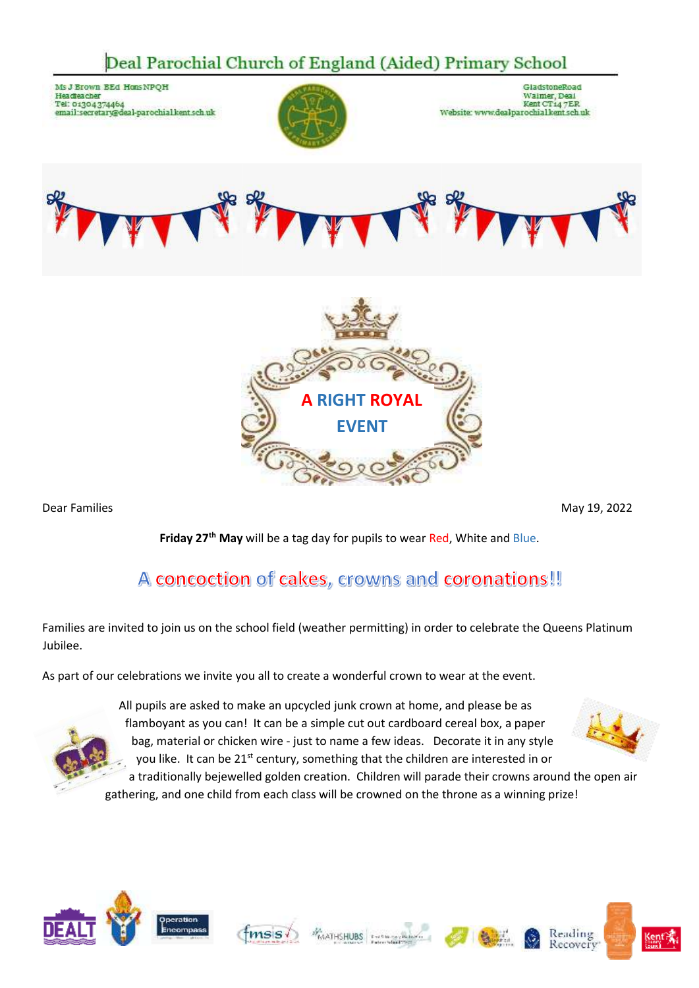## Deal Parochial Church of England (Aided) Primary School





Dear Families May 19, 2022

**Friday 27th May** will be a tag day for pupils to wear Red, White and Blue.

## A concoction of cakes, crowns and coronations!!

Families are invited to join us on the school field (weather permitting) in order to celebrate the Queens Platinum Jubilee.

As part of our celebrations we invite you all to create a wonderful crown to wear at the event.



All pupils are asked to make an upcycled junk crown at home, and please be as flamboyant as you can! It can be a simple cut out cardboard cereal box, a paper bag, material or chicken wire - just to name a few ideas. Decorate it in any style you like. It can be 21<sup>st</sup> century, something that the children are interested in or a traditionally bejewelled golden creation. Children will parade their crowns around the open air



gathering, and one child from each class will be crowned on the throne as a winning prize!